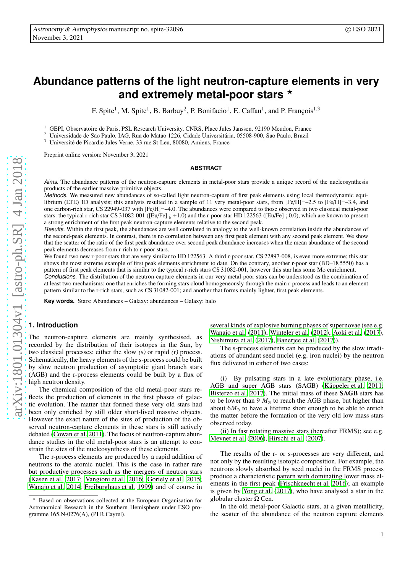# **Abundance patterns of the light neutron-capture elements in very** and extremely metal-poor stars **\***

F. Spite<sup>1</sup>, M. Spite<sup>1</sup>, B. Barbuy<sup>2</sup>, P. Bonifacio<sup>1</sup>, E. Caffau<sup>1</sup>, and P. François<sup>1,3</sup>

<sup>1</sup> GEPI, Observatoire de Paris, PSL Research University, CNRS, Place Jules Janssen, 92190 Meudon, France<br><sup>2</sup> Universidade de São Paula, JAG, Pue de Metão 1226, Cidade Universitário, 05508,000, São Paula, Prazil

<sup>2</sup> Universidade de São Paulo, IAG, Rua do Matão 1226, Cidade Universitária, 05508-900, São Paulo, Brazil<br><sup>3</sup> Université de Picardie Jules Verne, 33 rue St-Leu, 80080, Amiens, France

Université de Picardie Jules Verne, 33 rue St-Leu, 80080, Amiens, France

Preprint online version: November 3, 2021

#### **ABSTRACT**

Aims. The abundance patterns of the neutron-capture elements in metal-poor stars provide a unique record of the nucleosynthesis products of the earlier massive primitive objects.

Methods. We measured new abundances of so-called light neutron-capture of first peak elements using local thermodynamic equilibrium (LTE) 1D analysis; this analysis resulted in a sample of 11 very metal-poor stars, from [Fe/H]=–2.5 to [Fe/H]=–3.4, and one carbon-rich star, CS 22949-037 with [Fe/H]=–4.0. The abundances were compared to those observed in two classical metal-poor stars: the typical r-rich star CS 31082-001 ([Eu/Fe]  $\zeta$  +1.0) and the r-poor star HD 122563 ([Eu/Fe] ; 0.0), which are known to present a strong enrichment of the first peak neutron-capture elements relative to the second peak.

Results. Within the first peak, the abundances are well correlated in analogy to the well-known correlation inside the abundances of the second-peak elements. In contrast, there is no correlation between any first peak element with any second peak element. We show that the scatter of the ratio of the first peak abundance over second peak abundance increases when the mean abundance of the second peak elements decreases from r-rich to r-poor stars.

We found two new r-poor stars that are very similar to HD 122563. A third r-poor star, CS 22897-008, is even more extreme; this star shows the most extreme example of first peak elements enrichment to date. On the contrary, another r-poor star (BD–18 5550) has a pattern of first peak elements that is similar to the typical r-rich stars CS 31082-001, however this star has some Mo enrichment.

Conclusions. The distribution of the neutron-capture elements in our very metal-poor stars can be understood as the combination of at least two mechanisms: one that enriches the forming stars cloud homogeneously through the main r-process and leads to an element pattern similar to the r-rich stars, such as CS 31082-001; and another that forms mainly lighter, first peak elements.

**Key words.** Stars: Abundances – Galaxy: abundances – Galaxy: halo

# **1. Introduction**

The neutron-capture elements are mainly synthesised, as recorded by the distribution of their isotopes in the Sun, by two classical processes: either the slow  $(s)$  or rapid  $(r)$  process. Schematically, the heavy elements of the s-process could be built by slow neutron production of asymptotic giant branch stars (AGB) and the r-process elements could be built by a flux of high neutron density.

The chemical composition of the old metal-poor stars reflects the production of elements in the first phases of galactic evolution. The matter that formed these very old stars had been only enriched by still older short-lived massive objects. However the exact nature of the sites of production of the observed neutron-capture elements in these stars is still actively debated [\(Cowan et al. 2011](#page-9-0)). The focus of neutron-capture abundance studies in the old metal-poor stars is an attempt to constrain the sites of the nucleosynthesis of these elements.

The r-process elements are produced by a rapid addition of neutrons to the atomic nuclei. This is the case in rather rare but productive processes such as the mergers of neutron stars [\(Kasen et al. 2017;](#page-9-1) [Vangioni et al. 2016;](#page-9-2) [Goriely et al. 2015](#page-9-3); [Wanajo et al. 2014;](#page-9-4) [Freiburghaus et al. 1999](#page-9-5)) and of course in several kinds of explosive burning phases of supernovae (see e.g. [Wanajo et al.](#page-9-6) [\(2011\)](#page-9-6), [Winteler et al. \(2012\)](#page-9-7), [Aoki et al. \(2017\)](#page-9-8), [Nishimura et al.](#page-9-9) [\(2017\)](#page-9-9), [Banerjee et al. \(2017\)](#page-9-10)).

The s-process elements can be produced by the slow irradiations of abundant seed nuclei (e.g. iron nuclei) by the neutron flux delivered in either of two cases:

(i) By pulsating stars in a late evolutionary phase, i.e. AGB and super AGB stars (SAGB) (Käppeler et al. 2011; [Bisterzo et al. 2017\)](#page-9-12). The initial mass of these SAGB stars has to be lower than 9  $M_{\odot}$  to reach the AGB phase, but higher than about  $6M_{\odot}$  to have a lifetime short enough to be able to enrich the matter before the formation of the very old low mass stars observed today.

(ii) In fast rotating massive stars (hereafter FRMS); see e.g. [Meynet et al.](#page-9-13) [\(2006\)](#page-9-13), [Hirschi et al. \(2007\)](#page-9-14).

The results of the r- or s-processes are very different, and not only by the resulting isotopic composition. For example, the neutrons slowly absorbed by seed nuclei in the FRMS process produce a characteristic pattern with dominating lower mass elements in the first peak [\(Frischknecht et al. 2016\)](#page-9-15); an example is given by [Yong et al. \(2017](#page-9-16)), who have analysed a star in the globular cluster Ω Cen.

In the old metal-poor Galactic stars, at a given metallicity, the scatter of the abundance of the neutron capture elements

<sup>⋆</sup> Based on observations collected at the European Organisation for Astronomical Research in the Southern Hemisphere under ESO programme 165.N-0276(A), (PI R.Cayrel).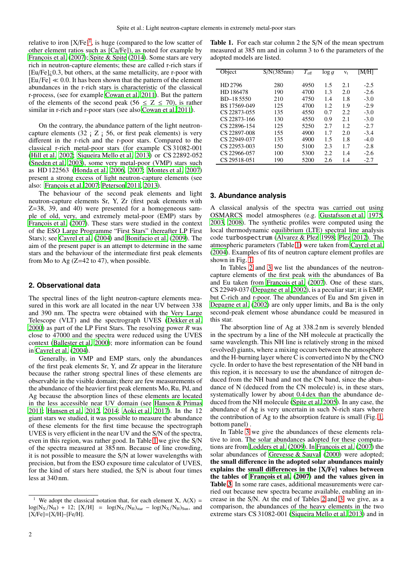relative to iron  $[X/Fe]^1$  $[X/Fe]^1$ , is huge (compared to the low scatter of other element ratios such as [Ca/Fe]), as noted for example by François et al. (2007); [Spite & Spite](#page-9-18) [\(2014\)](#page-9-18). Some stars are very rich in neutron-capture elements; these are called r-rich stars if  $[Eu/Fe]$ ; 0.3, but others, at the same metallicity, are r-poor with  $[Eu/Fe] \ll 0.0$ . It has been shown that the pattern of the element abundances in the r-rich stars is characteristic of the classical r-process, (see for example [Cowan et al. 2011\)](#page-9-0). But the pattern of the elements of the second peak (56  $\le Z \le 70$ ), is rather similar in r-rich and r-poor stars (see also [Cowan et al. 2011\)](#page-9-0).

On the contrary, the abundance pattern of the light neutroncapture elements  $(32 \div 7)$   $\overline{z}$   $\overline{z}$   $\overline{z}$   $\overline{z}$   $\overline{z}$   $\overline{z}$   $\overline{z}$   $\overline{z}$   $\overline{z}$   $\overline{z}$   $\overline{z}$   $\overline{z}$   $\overline{z}$   $\overline{z}$   $\overline{z}$   $\overline{z}$   $\overline{z}$   $\overline{z}$   $\overline{z}$   $\overline{z}$   $\overline{z}$   $\overline$ different in the r-rich and the r-poor stars. Compared to the classical r-rich metal-poor stars (for example CS 31082-001 [\(Hill et al. 2002](#page-9-19); [Siqueira Mello et al. 2013\)](#page-9-20) or CS 22892-052 [\(Sneden et al. 2003\)](#page-9-21), some very metal-poor (VMP) stars such as HD 122563 [\(Honda et al. 2006,](#page-9-22) [2007;](#page-9-23) [Montes et al. 2007\)](#page-9-24) present a strong excess of light neutron-capture elements (see also: François et al. 2007; [Peterson 2011,](#page-9-25) [2013\)](#page-9-26).

The behaviour of the second peak elements and light neutron-capture elements Sr, Y, Zr (first peak elements with Z=38, 39, and 40) were presented for a homogeneous sample of old, very, and extremely metal-poor (EMP) stars by François et al. (2007). These stars were studied in the context of the ESO Large Programme "First Stars" (hereafter LP First Stars); see [Cayrel et al.](#page-9-27) [\(2004\)](#page-9-27) and [Bonifacio et al.](#page-9-28) [\(2009\)](#page-9-28). The aim of the present paper is an attempt to determine in the same stars and the behaviour of the intermediate first peak elements from Mo to Ag  $(Z=42$  to 47), when possible.

#### **2. Observational data**

The spectral lines of the light neutron-capture elements measured in this work are all located in the near UV between 338 and 390 nm. The spectra were obtained with the Very Large Telescope (VLT) and the spectrograph UVES [\(Dekker et al.](#page-9-29) [2000](#page-9-29)) as part of the LP First Stars. The resolving power *R* was close to 47000 and the spectra were reduced using the UVES context [\(Ballester et al. 2000\)](#page-9-30); more information can be found in [Cayrel et al.](#page-9-27) [\(2004\)](#page-9-27).

Generally, in VMP and EMP stars, only the abundances of the first peak elements Sr, Y, and Zr appear in the literature because the rather strong spectral lines of these elements are observable in the visible domain; there are few measurements of the abundance of the heavier first peak elements Mo, Ru, Pd, and Ag because the absorption lines of these elements are located in the less accessible near UV domain (see [Hansen & Primas](#page-9-31) [2011](#page-9-31); [Hansen et al. 2012,](#page-9-32) [2014;](#page-9-33) [Aoki et al. 2017\)](#page-9-8). In the 12 giant stars we studied, it was possible to measure the abundance of these elements for the first time because the spectrograph UVES is very efficient in the near UV and the S/N of the spectra, even in this region, was rather good. In Table [1](#page-1-1) we give the S/N of the spectra measured at 385 nm. Because of line crowding, it is not possible to measure the S/N at lower wavelengths with precision, but from the ESO exposure time calculator of UVES, for the kind of stars here studied, the S/N is about four times less at 340 nm.

<span id="page-1-1"></span>Table 1. For each star column 2 the S/N of the mean spectrum measured at 385 nm and in column 3 to 6 the parameters of the adopted models are listed.

| Object       | S/N(385nm) | $T_{\rm eff}$ | $\log q$ | V <sub>t</sub> | [M/H]  |
|--------------|------------|---------------|----------|----------------|--------|
| HD 2796      | 280        | 4950          | 1.5      | 2.1            | $-2.5$ |
| HD 186478    | 190        | 4700          | 1.3      | 2.0            | $-2.6$ |
| BD-185550    | 210        | 4750          | 1.4      | 1.8            | $-3.0$ |
| BS 17569-049 | 125        | 4700          | 1.2.     | 1.9            | $-2.9$ |
| CS 22873-055 | 135        | 4550          | 0.7      | 2.2.           | $-3.0$ |
| CS 22873-166 | 130        | 4550          | 0.9      | 2.1            | $-3.0$ |
| CS 22896-154 | 125        | 5250          | 2.7      | 1.2.           | $-2.7$ |
| CS 22897-008 | 155        | 4900          | 1.7      | 2.0            | $-3.4$ |
| CS 22949-037 | 135        | 4900          | 1.5      | 1.8            | $-4.0$ |
| CS 22953-003 | 150        | 5100          | 2.3      | 1.7            | $-2.8$ |
| CS 22966-057 | 100        | 5300          | 2.2.     | 1.4            | $-2.6$ |
| CS 29518-051 | 190        | 5200          | 2.6      | 1.4            | $-2.7$ |

#### **3. Abundance analysis**

A classical analysis of the spectra was carried out using OSMARCS model atmospheres (e.g. [Gustafsson et al. 1975](#page-9-34), [2003,](#page-9-35) [2008\)](#page-9-36). The synthetic profiles were computed using the local thermodynamic equilibrium (LTE) spectral line analysis code turbospectrum [\(Alvarez & Plez 1998;](#page-9-37) [Plez 2012\)](#page-9-38). The atmospheric parameters (Table [1\)](#page-1-1) were taken from [Cayrel et al.](#page-9-27) [\(2004](#page-9-27)). Examples of fits of neutron capture element profiles are shown in Fig. [1.](#page-2-0)

In Tables [2](#page-3-0) and [3](#page-4-0) we list the abundances of the neutroncapture elements of the first peak with the abundances of Ba and Eu taken from François et al. (2007). One of these stars, CS 22949-037 [\(Depagne et al. 2002](#page-9-39)), is a peculiar star; it is EMP, but C-rich and r-poor. The abundances of Eu and Sm given in [Depagne et al.](#page-9-39) [\(2002\)](#page-9-39) are only upper limits, and Ba is the only second-peak element whose abundance could be measured in this star.

The absorption line of Ag at 338.2 nm is severely blended in the spectrum by a line of the NH molecule at practically the same wavelength. This NH line is relatively strong in the mixed (evolved) giants, where a mixing occurs between the atmosphere and the H-burning layer where C is converted into N by the CNO cycle. In order to have the best representation of the NH band in this region, it is necessary to use the abundance of nitrogen deduced from the NH band and not the CN band, since the abundance of N (deduced from the CN molecule) is, in these stars, systematically lower by about 0.4 dex than the abundance deduced from the NH molecule [\(Spite et al. 2005\)](#page-9-40). In any case, the abundance of Ag is very uncertain in such N-rich stars where the contribution of Ag to the absorption feature is small (Fig. [1,](#page-2-0) bottom panel) .

In Table [3](#page-4-0) we give the abundances of these elements relative to iron. The solar abundances adopted for these computa-tions are from [Lodders et al. \(2009](#page-9-41)). In François et al. (2007) the solar abundances of [Grevesse & Sauval](#page-9-42) [\(2000\)](#page-9-42) were adopted; the small difference in the adopted solar abundances mainly explains the small differences in the [X/Fe] values between the tables of François et al.  $(2007)$  and the values given in Table [3](#page-4-0). In some rare cases, additional measurements were carried out because new spectra became available, enabling an increase in the S/N. At the end of Tables [2](#page-3-0) and [3,](#page-4-0) we give, as a comparison, the abundances of the heavy elements in the two extreme stars CS 31082-001 [\(Siqueira Mello et al. 2013\)](#page-9-20) and in

<span id="page-1-0"></span><sup>&</sup>lt;sup>1</sup> We adopt the classical notation that, for each element X,  $A(X) =$  $log(N_X/N_H) + 12$ ;  $[X/H] = log(N_X/N_H)_{star} - log(N_X/N_H)_{Sun}$ , and  $[X/Fe] = [X/H] - [Fe/H].$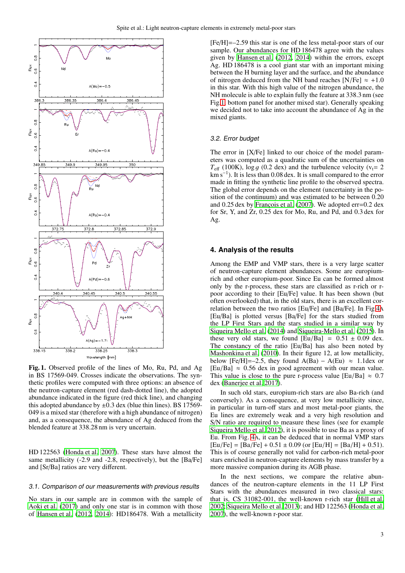

<span id="page-2-0"></span>Fig. 1. Observed profile of the lines of Mo, Ru, Pd, and Ag in BS 17569-049. Crosses indicate the observations. The synthetic profiles were computed with three options: an absence of the neutron-capture element (red dash-dotted line), the adopted abundance indicated in the figure (red thick line), and changing this adopted abundance by  $\pm 0.3$  dex (blue thin lines). BS 17569-049 is a mixed star (therefore with a high abundance of nitrogen) and, as a consequence, the abundance of Ag deduced from the blended feature at 338.28 nm is very uncertain.

HD 122563 [\(Honda et al. 2007\)](#page-9-23). These stars have almost the same metallicity (-2.9 and -2.8, respectively), but the [Ba/Fe] and [Sr/Ba] ratios are very different.

#### 3.1. Comparison of our measurements with previous results

No stars in our sample are in common with the sample of [Aoki et al. \(2017\)](#page-9-8) and only one star is in common with those of [Hansen et al. \(2012,](#page-9-32) [2014\)](#page-9-33): HD186478. With a metallicity

[Fe/H]=–2.59 this star is one of the less metal-poor stars of our sample. Our abundances for HD 186478 agree with the values given by [Hansen et al. \(2012](#page-9-32), [2014\)](#page-9-33) within the errors, except Ag. HD 186478 is a cool giant star with an important mixing between the H burning layer and the surface, and the abundance of nitrogen deduced from the NH band reaches  $[N/Fe] \approx +1.0$ in this star. With this high value of the nitrogen abundance, the NH molecule is able to explain fully the feature at 338.3 nm (see Fig[.1,](#page-2-0) bottom panel for another mixed star). Generally speaking we decided not to take into account the abundance of Ag in the mixed giants.

#### 3.2. Error budget

The error in [X/Fe] linked to our choice of the model parameters was computed as a quadratic sum of the uncertainties on  $T_{\text{eff}}$  (100K), log g (0.2 dex) and the turbulence velocity ( $v_t$ = 2 km s<sup>−</sup><sup>1</sup> ). It is less than 0.08 dex. It is small compared to the error made in fitting the synthetic line profile to the observed spectra. The global error depends on the element (uncertainty in the position of the continuum) and was estimated to be between 0.20 and  $0.25$  dex by François et al. [\(2007\)](#page-9-17). We adopted err=0.2 dex for Sr, Y, and Zr, 0.25 dex for Mo, Ru, and Pd, and 0.3 dex for Ag.

## **4. Analysis of the results**

Among the EMP and VMP stars, there is a very large scatter of neutron-capture element abundances. Some are europiumrich and other europium-poor. Since Eu can be formed almost only by the r-process, these stars are classified as r-rich or rpoor according to their [Eu/Fe] value. It has been shown (but often overlooked) that, in the old stars, there is an excellent correlation between the two ratios [Eu/Fe] and [Ba/Fe]. In Fig[.4](#page-5-0)A [Eu/Ba] is plotted versus [Ba/Fe] for the stars studied from the LP First Stars and the stars studied in a similar way by [Siqueira Mello et al. \(2014](#page-9-43)) and [Siqueira-Mello et al. \(2015\)](#page-9-44). In these very old stars, we found  $[Eu/Ba] = 0.51 \pm 0.09$  dex. The constancy of the ratio [Eu/Ba] has also been noted by [Mashonkina et al.](#page-9-45) [\(2010\)](#page-9-45). In their figure 12, at low metallicity, below [Fe/H]=–2.5, they found  $A(Ba) - A(Eu) \approx 1.1$  dex or [Eu/Ba]  $\approx$  0.56 dex in good agreement with our mean value. This value is close to the pure r-process value [Eu/Ba]  $\approx 0.7$ dex [\(Banerjee et al. 2017\)](#page-9-10).

In such old stars, europium-rich stars are also Ba-rich (and conversely). As a consequence, at very low metallicity since, in particular in turn-off stars and most metal-poor giants, the Eu lines are extremely weak and a very high resolution and S/N ratio are required to measure these lines (see for example [Siqueira Mello et al. 2012\)](#page-9-46), it is possible to use Ba as a proxy of Eu. From Fig. [4](#page-5-0)A, it can be deduced that in normal VMP stars  $[Eu/Fe] = [Ba/Fe] + 0.51 \pm 0.09$  (or  $[Eu/H] = [Ba/H] + 0.51$ ). This is of course generally not valid for carbon-rich metal-poor stars enriched in neutron-capture elements by mass transfer by a more massive companion during its AGB phase.

In the next sections, we compare the relative abundances of the neutron-capture elements in the 11 LP First Stars with the abundances measured in two classical stars: that is, CS 31082-001, the well-known r-rich star [\(Hill et al.](#page-9-19) [2002;](#page-9-19) [Siqueira Mello et al. 2013\)](#page-9-20); and HD 122563 [\(Honda et al.](#page-9-23) [2007\)](#page-9-23), the well-known r-poor star.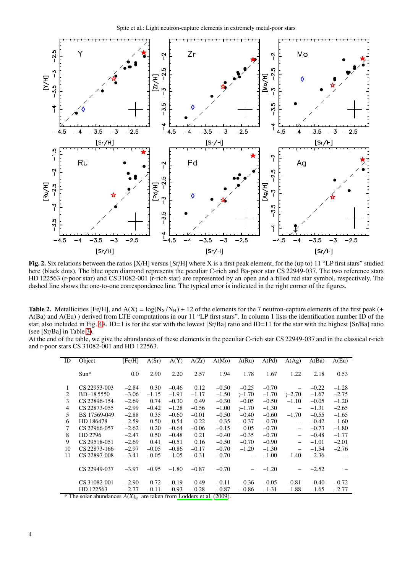

<span id="page-3-1"></span>Fig. 2. Six relations between the ratios [X/H] versus [Sr/H] where X is a first peak element, for the (up to) 11 "LP first stars" studied here (black dots). The blue open diamond represents the peculiar C-rich and Ba-poor star CS 22949-037. The two reference stars HD 122563 (r-poor star) and CS 31082-001 (r-rich star) are represented by an open and a filled red star symbol, respectively. The dashed line shows the one-to-one correspondence line. The typical error is indicated in the right corner of the figures.

<span id="page-3-0"></span>**Table 2.** Metallicities [Fe/H], and  $A(X) = log(N_X/N_H) + 12$  of the elements for the 7 neutron-capture elements of the first peak (+ A(Ba) and A(Eu) ) derived from LTE computations in our 11 "LP first stars". In column 1 lists the identification number ID of the star, also included in Fig. [4](#page-5-0)B. ID=1 is for the star with the lowest [Sr/Ba] ratio and ID=11 for the star with the highest [Sr/Ba] ratio (see [Sr/Ba] in Table [3\)](#page-4-0).

At the end of the table, we give the abundances of these elements in the peculiar C-rich star CS 22949-037 and in the classical r-rich and r-poor stars CS 31082-001 and HD 122563.

| ID | Object                                                                          | [Fe/H]  | A(Sr)   | A(Y)    | A(Zr)   | A(Mo)   | A(Ru)    | A(Pd)   | A(Ag)                    | A(Ba)   | A(Eu)   |
|----|---------------------------------------------------------------------------------|---------|---------|---------|---------|---------|----------|---------|--------------------------|---------|---------|
|    | $Sun*$                                                                          | 0.0     | 2.90    | 2.20    | 2.57    | 1.94    | 1.78     | 1.67    | 1.22                     | 2.18    | 0.53    |
| 1  | CS 22953-003                                                                    | $-2.84$ | 0.30    | $-0.46$ | 0.12    | $-0.50$ | $-0.25$  | $-0.70$ | $\qquad \qquad -$        | $-0.22$ | $-1.28$ |
| 2  | BD-185550                                                                       | $-3.06$ | $-1.15$ | $-1.91$ | $-1.17$ | $-1.50$ | i-1.70   | $-1.70$ | $i - 2.70$               | $-1.67$ | $-2.75$ |
| 3  | CS 22896-154                                                                    | $-2.69$ | 0.74    | $-0.30$ | 0.49    | $-0.30$ | $-0.05$  | $-0.50$ | $-1.10$                  | $-0.05$ | $-1.20$ |
| 4  | CS 22873-055                                                                    | $-2.99$ | $-0.42$ | $-1.28$ | $-0.56$ | $-1.00$ | i-1.70   | $-1.30$ | $\equiv$                 | $-1.31$ | $-2.65$ |
| 5  | BS 17569-049                                                                    | $-2.88$ | 0.35    | $-0.60$ | $-0.01$ | $-0.50$ | $-0.40$  | $-0.60$ | $-1.70$                  | $-0.55$ | $-1.65$ |
| 6  | HD 186478                                                                       | $-2.59$ | 0.50    | $-0.54$ | 0.22    | $-0.35$ | $-0.37$  | $-0.70$ | $\equiv$                 | $-0.42$ | $-1.60$ |
| 7  | CS 22966-057                                                                    | $-2.62$ | 0.20    | $-0.64$ | $-0.06$ | $-0.15$ | 0.05     | $-0.70$ | $\overline{\phantom{m}}$ | $-0.73$ | $-1.80$ |
| 8  | HD 2796                                                                         | $-2.47$ | 0.50    | $-0.48$ | 0.21    | $-0.40$ | $-0.35$  | $-0.70$ | $\overline{\phantom{m}}$ | $-0.48$ | $-1.77$ |
| 9  | CS 29518-051                                                                    | $-2.69$ | 0.41    | $-0.51$ | 0.16    | $-0.50$ | $-0.70$  | $-0.90$ |                          | $-1.01$ | $-2.01$ |
| 10 | CS 22873-166                                                                    | $-2.97$ | $-0.05$ | $-0.86$ | $-0.17$ | $-0.70$ | $-1.20$  | $-1.30$ | $\overline{\phantom{m}}$ | $-1.54$ | $-2.76$ |
| 11 | CS 22897-008                                                                    | $-3.41$ | $-0.05$ | $-1.05$ | $-0.31$ | $-0.70$ | $\equiv$ | $-1.00$ | $-1.40$                  | $-2.36$ |         |
|    | CS 22949-037                                                                    | $-3.97$ | $-0.95$ | $-1.80$ | $-0.87$ | $-0.70$ |          | $-1.20$ |                          | $-2.52$ |         |
|    | CS 31082-001                                                                    | $-2.90$ | 0.72    | $-0.19$ | 0.49    | $-0.11$ | 0.36     | $-0.05$ | $-0.81$                  | 0.40    | $-0.72$ |
|    | HD 122563                                                                       | $-2.77$ | $-0.11$ | $-0.93$ | $-0.28$ | $-0.87$ | $-0.86$  | $-1.31$ | $-1.88$                  | $-1.65$ | $-2.77$ |
|    | $*$ The solar abundances $\Lambda(V)$<br>(2000)<br>are taken from Lodders et al |         |         |         |         |         |          |         |                          |         |         |

The solar abundances  $A(X)_{\odot}$  are taken from [Lodders et al. \(2009](#page-9-41)).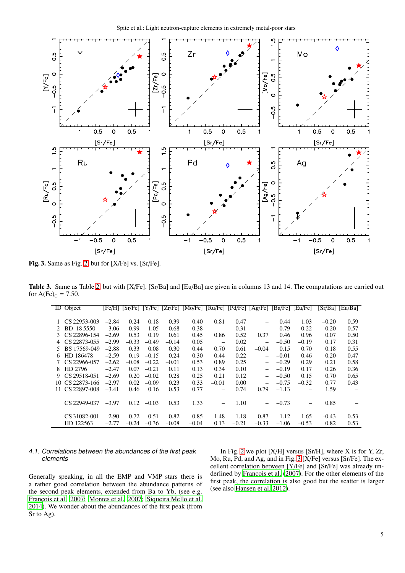

<span id="page-4-1"></span>Fig. 3. Same as Fig. [2,](#page-3-1) but for [X/Fe] vs. [Sr/Fe].

Table 3. Same as Table [2,](#page-3-0) but with [X/Fe]. [Sr/Ba] and [Eu/Ba] are given in columns 13 and 14. The computations are carried out for  $A(Fe)_{\odot} = 7.50$ .

<span id="page-4-0"></span>

|             | ID Object       |         | [Fe/H] [Sr/Fe] [Y/Fe] |         | [Zr/Fe] | [Mo/Fe] | [Ru/Fe]           |         | [Pd/Fe] [Ag/Fe]          | [Ba/Fe] | [Eu/Fe] |         | [Sr/Ba] [Eu/Ba] |
|-------------|-----------------|---------|-----------------------|---------|---------|---------|-------------------|---------|--------------------------|---------|---------|---------|-----------------|
|             | 1 CS 22953-003  | $-2.84$ | 0.24                  | 0.18    | 0.39    | 0.40    | 0.81              | 0.47    |                          | 0.44    | 1.03    | $-0.20$ | 0.59            |
| $2^{\circ}$ | BD-185550       | $-3.06$ | $-0.99$               | $-1.05$ | $-0.68$ | $-0.38$ |                   | $-0.31$ |                          | $-0.79$ | $-0.22$ | $-0.20$ | 0.57            |
|             |                 |         |                       |         |         |         |                   |         |                          |         |         |         |                 |
|             | 3 CS 22896-154  | $-2.69$ | 0.53                  | 0.19    | 0.61    | 0.45    | 0.86              | 0.52    | 0.37                     | 0.46    | 0.96    | 0.07    | 0.50            |
|             | 4 CS 22873-055  | $-2.99$ | $-0.33$               | $-0.49$ | $-0.14$ | 0.05    | $\qquad \qquad -$ | 0.02    |                          | $-0.50$ | $-0.19$ | 0.17    | 0.31            |
| 5.          | BS 17569-049    | $-2.88$ | 0.33                  | 0.08    | 0.30    | 0.44    | 0.70              | 0.61    | $-0.04$                  | 0.15    | 0.70    | 0.18    | 0.55            |
| 6           | HD 186478       | $-2.59$ | 0.19                  | $-0.15$ | 0.24    | 0.30    | 0.44              | 0.22    | $\qquad \qquad -$        | $-0.01$ | 0.46    | 0.20    | 0.47            |
|             | CS 22966-057    | $-2.62$ | $-0.08$               | $-0.22$ | $-0.01$ | 0.53    | 0.89              | 0.25    | $\overline{\phantom{0}}$ | $-0.29$ | 0.29    | 0.21    | 0.58            |
| 8.          | HD 2796         | $-2.47$ | 0.07                  | $-0.21$ | 0.11    | 0.13    | 0.34              | 0.10    |                          | $-0.19$ | 0.17    | 0.26    | 0.36            |
|             | 9 CS 29518-051  | $-2.69$ | 0.20                  | $-0.02$ | 0.28    | 0.25    | 0.21              | 0.12    | $\overline{\phantom{0}}$ | $-0.50$ | 0.15    | 0.70    | 0.65            |
|             | 10 CS 22873-166 | $-2.97$ | 0.02                  | $-0.09$ | 0.23    | 0.33    | $-0.01$           | 0.00    |                          | $-0.75$ | $-0.32$ | 0.77    | 0.43            |
|             | 11 CS 22897-008 | $-3.41$ | 0.46                  | 0.16    | 0.53    | 0.77    | $\qquad \qquad -$ | 0.74    | 0.79                     | $-1.13$ |         | 1.59    |                 |
|             | CS 22949-037    | $-3.97$ | 0.12                  | $-0.03$ | 0.53    | 1.33    | $\qquad \qquad -$ | 1.10    |                          | $-0.73$ |         | 0.85    |                 |
|             | CS 31082-001    | $-2.90$ | 0.72                  | 0.51    | 0.82    | 0.85    | 1.48              | 1.18    | 0.87                     | 1.12    | 1.65    | $-0.43$ | 0.53            |
|             | HD 122563       | $-2.77$ | $-0.24$               | $-0.36$ | $-0.08$ | $-0.04$ | 0.13              | $-0.21$ | $-0.33$                  | $-1.06$ | $-0.53$ | 0.82    | 0.53            |

# 4.1. Correlations between the abundances of the first peak elements

[2014](#page-9-43)). We wonder about the abundances of the first peak (from

Sr to Ag).

Generally speaking, in all the EMP and VMP stars there is a rather good correlation between the abundance patterns of the second peak elements, extended from Ba to Yb, (see e.g. François et al. 2007; [Montes et al. 2007;](#page-9-24) [Siqueira Mello et al.](#page-9-43) Mo, Ru, Pd, and Ag, and in Fig. [3](#page-4-1) [X/Fe] versus [Sr/Fe]. The excellent correlation between [Y/Fe] and [Sr/Fe] was already underlined by François et al. (2007). For the other elements of the first peak, the correlation is also good but the scatter is larger (see also [Hansen et al. 2012](#page-9-32)).

In Fig. [2](#page-3-1) we plot  $[X/H]$  versus  $[Sr/H]$ , where X is for Y, Zr,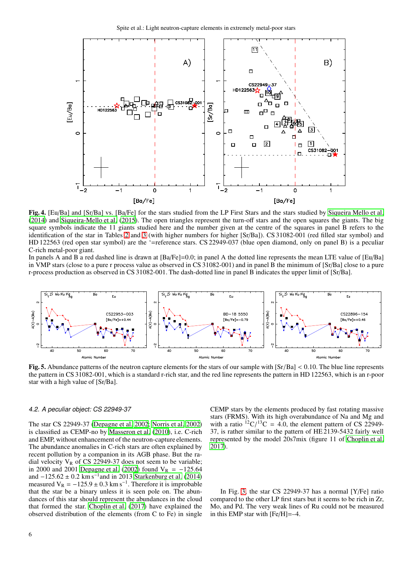

<span id="page-5-0"></span>Fig. 4. [Eu/Ba] and [Sr/Ba] vs. [Ba/Fe] for the stars studied from the LP First Stars and the stars studied by [Siqueira Mello et al.](#page-9-43) [\(2014\)](#page-9-43) and [Siqueira-Mello et al.](#page-9-44) [\(2015\)](#page-9-44). The open triangles represent the turn-off stars and the open squares the giants. The big square symbols indicate the 11 giants studied here and the number given at the centre of the squares in panel B refers to the identification of the star in Tables [2](#page-3-0) and [3](#page-4-0) (with higher numbers for higher [Sr/Ba]). CS 31082-001 (red filled star symbol) and HD 122563 (red open star symbol) are the '=reference stars. CS 22949-037 (blue open diamond, only on panel B) is a peculiar C-rich metal-poor giant.

In panels A and B a red dashed line is drawn at [Ba/Fe]=0.0; in panel A the dotted line represents the mean LTE value of [Eu/Ba] in VMP stars (close to a pure r process value as observed in CS 31082-001) and in panel B the minimum of [Sr/Ba] close to a pure r-process production as observed in CS 31082-001. The dash-dotted line in panel B indicates the upper limit of [Sr/Ba].



<span id="page-5-1"></span>Fig. 5. Abundance patterns of the neutron capture elements for the stars of our sample with [Sr/Ba] < 0.10. The blue line represents the pattern in CS 31082-001, which is a standard r-rich star, and the red line represents the pattern in HD 122563, which is an r-poor star with a high value of [Sr/Ba].

#### 4.2. A peculiar object: CS 22949-37

The star CS 22949-37 [\(Depagne et al. 2002;](#page-9-39) [Norris et al. 2002\)](#page-9-47) is classified as CEMP-no by [Masseron et al. \(2010](#page-9-48)), i.e. C-rich and EMP, without enhancement of the neutron-capture elements. The abundance anomalies in C-rich stars are often explained by recent pollution by a companion in its AGB phase. But the radial velocity  $V_R$  of CS 22949-37 does not seem to be variable; in 2000 and 2001 [Depagne et al. \(2002\)](#page-9-39) found  $V_R = -125.64$ and  $-125.62 \pm 0.2$  km s<sup>-1</sup> and in 2013 [Starkenburg et al.](#page-9-49) [\(2014\)](#page-9-49) measured  $V_R = -125.9 \pm 0.3$  km s<sup>-1</sup>. Therefore it is improbable that the star be a binary unless it is seen pole on. The abundances of this star should represent the abundances in the cloud that formed the star. [Choplin et al. \(2017](#page-9-50)) have explained the observed distribution of the elements (from C to Fe) in single CEMP stars by the elements produced by fast rotating massive stars (FRMS). With its high overabundance of Na and Mg and with a ratio  ${}^{12}C/{}^{13}C = 4.0$ , the element pattern of CS 22949-37, is rather similar to the pattern of HE 2139-5432 fairly well represented by the model 20s7mix (figure 11 of [Choplin et al.](#page-9-50) [2017\)](#page-9-50).

In Fig. [3,](#page-4-1) the star CS 22949-37 has a normal [Y/Fe] ratio compared to the other LP first stars but it seems to be rich in Zr, Mo, and Pd. The very weak lines of Ru could not be measured in this EMP star with [Fe/H]=–4.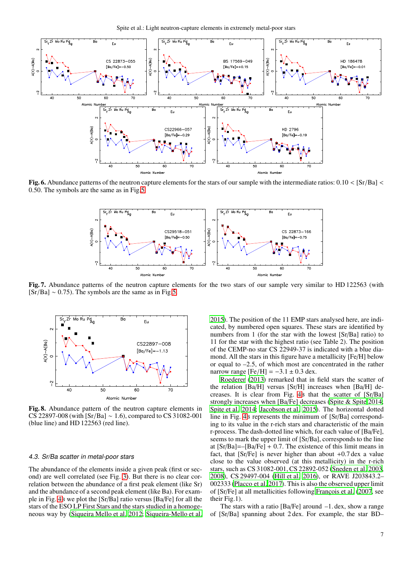

<span id="page-6-0"></span>Fig. 6. Abundance patterns of the neutron capture elements for the stars of our sample with the intermediate ratios:  $0.10 < [Sr/Ba]$ 0.50. The symbols are the same as in Fig[.5.](#page-5-1)



<span id="page-6-1"></span>Fig. 7. Abundance patterns of the neutron capture elements for the two stars of our sample very similar to HD 122563 (with  $[Sr/Ba] \sim 0.75$ ). The symbols are the same as in Fig[.5.](#page-5-1)



<span id="page-6-2"></span>Fig. 8. Abundance pattern of the neutron capture elements in CS 22897-008 (with [Sr/Ba] ∼ 1.6), compared to CS 31082-001 (blue line) and HD 122563 (red line).

#### 4.3. Sr/Ba scatter in metal-poor stars

The abundance of the elements inside a given peak (first or second) are well correlated (see Fig. [3\)](#page-4-1). But there is no clear correlation between the abundance of a first peak element (like Sr) and the abundance of a second peak element (like Ba). For example in Fig. [4](#page-5-0)B we plot the [Sr/Ba] ratio versus [Ba/Fe] for all the stars of the ESO LP First Stars and the stars studied in a homogeneous way by [\(Siqueira Mello et al. 2012;](#page-9-46) [Siqueira-Mello et al.](#page-9-44)

[2015\)](#page-9-44). The position of the 11 EMP stars analysed here, are indicated, by numbered open squares. These stars are identified by numbers from 1 (for the star with the lowest [Sr/Ba] ratio) to 11 for the star with the highest ratio (see Table 2). The position of the CEMP-no star CS 22949-37 is indicated with a blue diamond. All the stars in this figure have a metallicity [Fe/H] below or equal to –2.5, of which most are concentrated in the rather narrow range  $[Fe/H] = -3.1 \pm 0.3$  dex.

[Roederer \(2013\)](#page-9-51) remarked that in field stars the scatter of the relation [Ba/H] versus [Sr/H] increases when [Ba/H] decreases. It is clear from Fig. [4](#page-5-0)B that the scatter of [Sr/Ba] strongly increases when [Ba/Fe] decreases [\(Spite & Spite 2014;](#page-9-18) [Spite et al. 2014](#page-9-52); [Jacobson et al. 2015\)](#page-9-53). The horizontal dotted line in Fig. [4](#page-5-0)B represents the minimum of [Sr/Ba] corresponding to its value in the r-rich stars and characteristic of the main r-process. The dash-dotted line which, for each value of [Ba/Fe], seems to mark the upper limit of [Sr/Ba], corresponds to the line at  $[Sr/Ba]=-[Ba/Fe]+0.7$ . The existence of this limit means in fact, that  $[Sr/Fe]$  is never higher than about  $+0.7$  dex a value close to the value observed (at this metallicity) in the r-rich stars, such as CS 31082-001, CS 22892-052 [\(Sneden et al. 2003](#page-9-21), [2008\)](#page-9-54), CS 29497-004 [\(Hill et al. 2016\)](#page-9-55), or RAVE J203843.2– 002333 [\(Placco et al. 2017\)](#page-9-56). This is also the observed upper limit of [Sr/Fe] at all metallicities following François et al. (2007, see their Fig.1).

The stars with a ratio  $[Ba/Fe]$  around  $-1$ . dex, show a range of [Sr/Ba] spanning about 2 dex. For example, the star BD–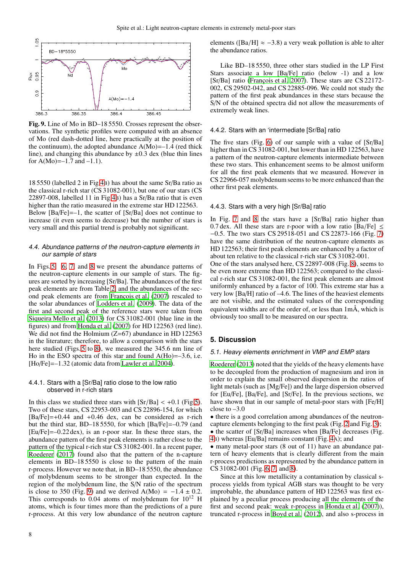

<span id="page-7-0"></span>Fig. 9. Line of Mo in BD–18 5550. Crosses represent the observations. The synthetic profiles were computed with an absence of Mo (red dash-dotted line, here practically at the position of the continuum), the adopted abundance  $A(Mo) = -1.4$  (red thick line), and changing this abundance by  $\pm 0.3$  dex (blue thin lines for  $A(Mo) = -1.7$  and  $-1.1$ ).

18 5550 (labelled 2 in Fig[.4](#page-5-0)B) has about the same Sr/Ba ratio as the classical r-rich star (CS 31082-001), but one of our stars (CS 22897-008, labelled 11 in Fig[.4](#page-5-0)B) has a Sr/Ba ratio that is even higher than the ratio measured in the extreme star HD 122563. Below  $[Ba/Fe]=-1$ , the scatter of  $[Sr/Ba]$  does not continue to increase (it even seems to decrease) but the number of stars is very small and this partial trend is probably not significant.

## 4.4. Abundance patterns of the neutron-capture elements in our sample of stars

In Figs. [5,](#page-5-1) [6,](#page-6-0) [7,](#page-6-1) and [8](#page-6-2) we present the abundance patterns of the neutron-capture elements in our sample of stars. The figures are sorted by increasing [Sr/Ba]. The abundances of the first peak elements are from Table [2,](#page-3-0) and the abundances of the sec-ond peak elements are from François et al. [\(2007\)](#page-9-17) rescaled to the solar abundances of [Lodders et al. \(2009](#page-9-41)). The data of the first and second peak of the reference stars were taken from [Siqueira Mello et al. \(2013\)](#page-9-20) for CS 31082-001 (blue line in the figures) and from [Honda et al.](#page-9-23) [\(2007\)](#page-9-23) for HD 122563 (red line). We did not find the Holmium  $(Z=67)$  abundance in HD 122563 in the literature; therefore, to allow a comparison with the stars here studied (Figs. [5](#page-5-1) to [8\)](#page-6-2), we measured the 345.6 nm line of Ho in the ESO spectra of this star and found  $A(Ho) = -3.6$ , i.e. [Ho/Fe]=–1.32 (atomic data from [Lawler et al. 2004](#page-9-57)).

## 4.4.1. Stars with a [Sr/Ba] ratio close to the low ratio observed in r-rich stars

In this class we studied three stars with  $[Sr/Ba] < +0.1$  (Fig[.5\)](#page-5-1). Two of these stars, CS 22953-003 and CS 22896-154, for which  $[Ba/Fe]=+0.44$  and  $+0.46$  dex, can be considered as r-rich but the third star, BD–18 5550, for which [Ba/Fe]=–0.79 (and [Eu/Fe]=–0.22 dex), is an r-poor star. In these three stars, the abundance pattern of the first peak elements is rather close to the pattern of the typical r-rich star CS 31082-001. In a recent paper, [Roederer \(2017\)](#page-9-58) found also that the pattern of the n-capture elements in BD–18 5550 is close to the pattern of the main r-process. However we note that, in BD–18 5550, the abundance of molybdenum seems to be stronger than expected. In the region of the molybdenum line, the S/N ratio of the spectrum is close to 350 (Fig. [9\)](#page-7-0) and we derived  $A(Mo) = -1.4 \pm 0.2$ . This corresponds to 0.04 atoms of molybdenum for  $10^{12}$  H atoms, which is four times more than the predictions of a pure r-process. At this very low abundance of the neutron capture

elements ([Ba/H]  $\approx$  -3.8) a very weak pollution is able to alter the abundance ratios.

Like BD–18 5550, three other stars studied in the LP First Stars associate a low [Ba/Fe] ratio (below -1) and a low [Sr/Ba] ratio (François et al. 2007). These stars are CS 22172-002, CS 29502-042, and CS 22885-096. We could not study the pattern of the first peak abundances in these stars because the S/N of the obtained spectra did not allow the measurements of extremely weak lines.

## 4.4.2. Stars with an 'intermediate [Sr/Ba] ratio

The five stars (Fig. [6\)](#page-6-0) of our sample with a value of [Sr/Ba] higher than in CS 31082-001, but lower than in HD 122563, have a pattern of the neutron-capture elements intermediate between these two stars. This enhancement seems to be almost uniform for all the first peak elements that we measured. However in CS 22966-057 molybdenum seems to be more enhanced than the other first peak elements.

## 4.4.3. Stars with a very high [Sr/Ba] ratio

In Fig. [7](#page-6-1) and [8](#page-6-2) the stars have a [Sr/Ba] ratio higher than 0.7 dex. All these stars are r-poor with a low ratio [Ba/Fe]  $\leq$ −0.5. The two stars CS 29518-051 and CS 22873-166 (Fig. [7\)](#page-6-1) have the same distribution of the neutron-capture elements as HD 122563; their first peak elements are enhanced by a factor of about ten relative to the classical r-rich star CS 31082-001.

One of the stars analysed here, CS 22897-008 (Fig. [8\)](#page-6-2), seems to be even more extreme than HD 122563; compared to the classical r-rich star CS 31082-001, the first peak elements are almost uniformly enhanced by a factor of 100. This extreme star has a very low [Ba/H] ratio of –4.6. The lines of the heaviest elements are not visible, and the estimated values of the corresponding equivalent widths are of the order of, or less than 1mÅ, which is obviously too small to be measured on our spectra.

## **5. Discussion**

#### 5.1. Heavy elements enrichment in VMP and EMP stars

[Roederer \(2013\)](#page-9-51) noted that the yields of the heavy elements have to be decoupled from the production of magnesium and iron in order to explain the small observed dispersion in the ratios of light metals (such as [Mg/Fe]) and the large dispersion observed for [Eu/Fe], [Ba/Fe], and [Sr/Fe]. In the previous sections, we have shown that in our sample of metal-poor stars with [Fe/H] close to  $-3.0$ 

• there is a good correlation among abundances of the neutroncapture elements belonging to the first peak (Fig. [2](#page-3-1) and Fig. [3\)](#page-4-1);

- the scatter of [Sr/Ba] increases when [Ba/Fe] decreases (Fig.
- [4](#page-5-0)B) whereas [Eu/Ba] remains constant (Fig. [4](#page-5-0)A); and

• many metal-poor stars (8 out of 11) have an abundance pattern of heavy elements that is clearly different from the main r-process predictions as represented by the abundance pattern in CS 31082-001 (Fig. [6,](#page-6-0) [7,](#page-6-1) and [8\)](#page-6-2).

Since at this low metallicity a contamination by classical sprocess yields from typical AGB stars was thought to be very improbable, the abundance pattern of HD 122563 was first explained by a peculiar process producing all the elements of the first and second peak: weak r-process in [Honda et al.](#page-9-23) [\(2007\)](#page-9-23)), truncated r-process in [Boyd et al.](#page-9-59) [\(2012\)](#page-9-59), and also s-process in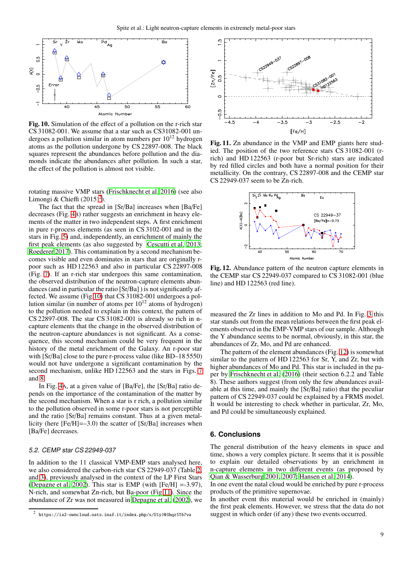

<span id="page-8-1"></span>Fig. 10. Simulation of the effect of a pollution on the r-rich star CS 31082-001. We assume that a star such as CS31082-001 undergoes a pollution similar in atom numbers per  $10^{12}$  hydrogen atoms as the pollution undergone by CS 22897-008. The black squares represent the abundances before pollution and the diamonds indicate the abundances after pollution. In such a star, the effect of the pollution is almost not visible.

rotating massive VMP stars [\(Frischknecht et al. 2016\)](#page-9-15) (see also Limongi & Chieffi  $(2015)^2$  $(2015)^2$  $(2015)^2$ ).

The fact that the spread in [Sr/Ba] increases when [Ba/Fe] decreases (Fig. [4](#page-5-0)B) rather suggests an enrichment in heavy elements of the matter in two independent steps. A first enrichment in pure r-process elements (as seen in CS 3102-001 and in the stars in Fig. [5\)](#page-5-1) and, independently, an enrichment of mainly the first peak elements (as also suggested by [Cescutti et al. 2013](#page-9-60); [Roederer 2017\)](#page-9-58). This contamination by a second mechanism becomes visible and even dominates in stars that are originally rpoor such as HD 122563 and also in particular CS 22897-008 (Fig. [7\)](#page-6-1). If an r-rich star undergoes this same contamination, the observed distribution of the neutron-capture elements abundances (and in particular the ratio [Sr/Ba] ) is not significantly affected. We assume (Fig[.10\)](#page-8-1) that CS 31082-001 undergoes a pollution similar (in number of atoms per  $10^{12}$  atoms of hydrogen) to the pollution needed to explain in this context, the pattern of CS 22897-008. The star CS 31082-001 is already so rich in ncapture elements that the change in the observed distribution of the neutron-capture abundances is not significant. As a consequence, this second mechanism could be very frequent in the history of the metal enrichment of the Galaxy. An r-poor star with [Sr/Ba] close to the pure r-process value (like BD–18 5550) would not have undergone a significant contamination by the second mechanism, unlike HD 122563 and the stars in Figs. [7](#page-6-1) and [8.](#page-6-2)

In Fig. [4](#page-5-0)A, at a given value of [Ba/Fe], the [Sr/Ba] ratio depends on the importance of the contamination of the matter by the second mechanism. When a star is r rich, a pollution similar to the pollution observed in some r-poor stars is not perceptible and the ratio [Sr/Ba] remains constant. Thus at a given metallicity (here [Fe/H]=–3.0) the scatter of [Sr/Ba] increases when [Ba/Fe] decreases.

#### 5.2. CEMP star CS 22949-037

In addition to the 11 classical VMP-EMP stars analysed here, we also considered the carbon-rich star CS 22949-037 (Table [2,](#page-3-0) and [3\)](#page-4-0), previously analysed in the context of the LP First Stars [\(Depagne et al. 2002](#page-9-39)). This star is EMP (with  $[Fe/H] = -3.97$ ), N-rich, and somewhat Zn-rich, but Ba-poor (Fig[.11\)](#page-8-2). Since the abundance of Zr was not measured in [Depagne et al. \(2002\)](#page-9-39), we



<span id="page-8-2"></span>Fig. 11. Zn abundance in the VMP and EMP giants here studied. The position of the two reference stars CS 31082-001 (rrich) and HD 122563 (r-poor but Sr-rich) stars are indicated by red filled circles and both have a normal position for their metallicity. On the contrary, CS 22897-008 and the CEMP star CS 22949-037 seem to be Zn-rich.



<span id="page-8-3"></span>Fig. 12. Abundance pattern of the neutron capture elements in the CEMP star CS 22949-037 compared to CS 31082-001 (blue line) and HD 122563 (red line).

measured the Zr lines in addition to Mo and Pd. In Fig. [3](#page-4-1) this star stands out from the mean relations between the first peak elements observed in the EMP-VMP stars of our sample. Although the Y abundance seems to be normal, obviously, in this star, the abundances of Zr, Mo, and Pd are enhanced.

The pattern of the element abundances (Fig. [12\)](#page-8-3) is somewhat similar to the pattern of HD 122563 for Sr, Y, and Zr, but with higher abundances of Mo and Pd. This star is included in the paper by [Frischknecht et al. \(2016\)](#page-9-15) (their section 6.2.2 and Table 8). These authors suggest (from only the few abundances available at this time, and mainly the [Sr/Ba] ratio) that the peculiar pattern of CS 22949-037 could be explained by a FRMS model. It would be interesting to check whether in particular, Zr, Mo, and Pd could be simultaneously explained.

## **6. Conclusions**

The general distribution of the heavy elements in space and time, shows a very complex picture. It seems that it is possible to explain our detailed observations by an enrichment in n-capture elements in two different events (as proposed by [Qian & Wasserburg 2001,](#page-9-61) [2007;](#page-9-62) [Hansen et al. 2014](#page-9-63)).

In one event the natal cloud would be enriched by pure r-process products of the primitive supernovae.

In another event this material would be enriched in (mainly) the first peak elements. However, we stress that the data do not suggest in which order (if any) these two events occurred.

<span id="page-8-0"></span><sup>2</sup> https://ia2-owncloud.oats.inaf.it/index.php/s/U1yJ03hqz5T67va